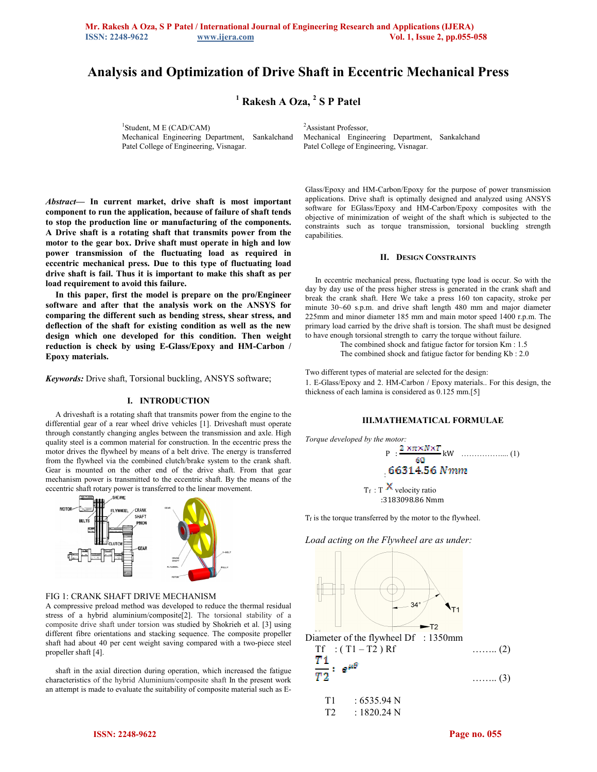# **Analysis and Optimization of Drive Shaft in Eccentric Mechanical Press**

<sup>1</sup> Rakesh A Oza, <sup>2</sup> S P Patel

1 Student, M E (CAD/CAM) Mechanical Engineering Department, Sankalchand Patel College of Engineering, Visnagar.

<sup>2</sup>Assistant Professor. Mechanical Engineering Department, Sankalchand Patel College of Engineering, Visnagar.

*Abstract***— In current market, drive shaft is most important component to run the application, because of failure of shaft tends to stop the production line or manufacturing of the components. A Drive shaft is a rotating shaft that transmits power from the motor to the gear box. Drive shaft must operate in high and low power transmission of the fluctuating load as required in eccentric mechanical press. Due to this type of fluctuating load drive shaft is fail. Thus it is important to make this shaft as per load requirement to avoid this failure.** 

**In this paper, first the model is prepare on the pro/Engineer software and after that the analysis work on the ANSYS for comparing the different such as bending stress, shear stress, and deflection of the shaft for existing condition as well as the new design which one developed for this condition. Then weight reduction is check by using E-Glass/Epoxy and HM-Carbon / Epoxy materials.** 

*Keywords:* Drive shaft, Torsional buckling, ANSYS software;

## **I. INTRODUCTION**

A driveshaft is a rotating shaft that transmits power from the engine to the differential gear of a rear wheel drive vehicles [1]. Driveshaft must operate through constantly changing angles between the transmission and axle. High quality steel is a common material for construction. In the eccentric press the motor drives the flywheel by means of a belt drive. The energy is transferred from the flywheel via the combined clutch/brake system to the crank shaft. Gear is mounted on the other end of the drive shaft. From that gear mechanism power is transmitted to the eccentric shaft. By the means of the eccentric shaft rotary power is transferred to the linear movement.



#### FIG 1: CRANK SHAFT DRIVE MECHANISM

A compressive preload method was developed to reduce the thermal residual stress of a hybrid aluminium/composite[2]. The torsional stability of a composite drive shaft under torsion was studied by Shokrieh et al. [3] using different fibre orientations and stacking sequence. The composite propeller shaft had about 40 per cent weight saving compared with a two-piece steel propeller shaft [4].

shaft in the axial direction during operation, which increased the fatigue characteristics of the hybrid Aluminium/composite shaft In the present work an attempt is made to evaluate the suitability of composite material such as E-

Glass/Epoxy and HM-Carbon/Epoxy for the purpose of power transmission applications. Drive shaft is optimally designed and analyzed using ANSYS software for EGlass/Epoxy and HM-Carbon/Epoxy composites with the objective of minimization of weight of the shaft which is subjected to the constraints such as torque transmission, torsional buckling strength capabilities.

### **II. DESIGN CONSTRAINTS**

In eccentric mechanical press, fluctuating type load is occur. So with the day by day use of the press higher stress is generated in the crank shaft and break the crank shaft. Here We take a press 160 ton capacity, stroke per minute 30~60 s.p.m. and drive shaft length 480 mm and major diameter 225mm and minor diameter 185 mm and main motor speed 1400 r.p.m. The primary load carried by the drive shaft is torsion. The shaft must be designed to have enough torsional strength to carry the torque without failure.

> The combined shock and fatigue factor for torsion Km : 1.5 The combined shock and fatigue factor for bending Kb : 2.0

Two different types of material are selected for the design:

1. E-Glass/Epoxy and 2. HM-Carbon / Epoxy materials.. For this design, the thickness of each lamina is considered as 0.125 mm.[5]

# **III.MATHEMATICAL FORMULAE**



 $T_f$  is the torque transferred by the motor to the flywheel.

*Load acting on the Flywheel are as under:* 



 $T1 : 6535.94 N$  $T2 : 1820.24 N$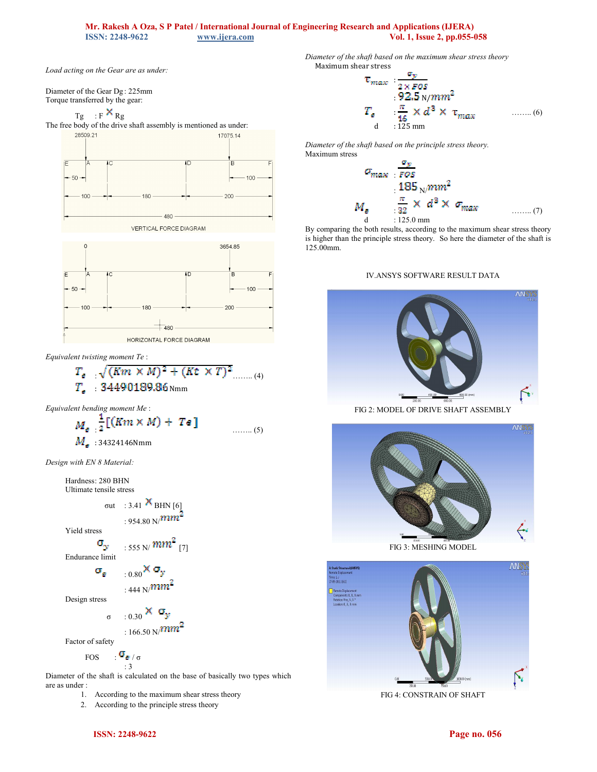# **Mr. Rakesh A Oza, S P Patel / International Journal of Engineering Research and Applications (IJERA) ISSN: 2248-9622 WWW.ijera.com Vol. 1, Issue 2, pp.055-4 ISSN: 2248-9622 [www.ijera.com](http://www.ijera.com/) Vol. 1, Issue 2, pp.055-058**

*Load acting on the Gear are as under:* 

Diameter of the Gear Dg : 225mm Torque transferred by the gear:

$$
Tg = : F^{\mathbf{X}} Rg
$$

The free body of the drive shaft assembly is mentioned as under:<br> $\frac{28509.21}{17075.14}$ 







HORIZONTAL FORCE DIAGRAM

*Equivalent twisting moment Te* :

$$
T_{e} = \sqrt{(Km \times M)^{2} + (Kt \times T)^{2}}
$$
  
\n
$$
T_{e} = 34490189.86
$$
 Nmm

*Equivalent bending moment Me* :

$$
M_{\sigma} \frac{1}{2} [(Km \times M) + Te] \qquad \qquad \dots \dots (5)
$$
  

$$
M_{\sigma} \cdot 34324146 \text{Nmm}
$$

*Design with EN 8 Material:*

Hardness: 280 BHN Ultimate tensile stress

out : 3.41 
$$
\times
$$
 BHN [6]  
: 954.80 N $/mm^2$ 

Yield stress

$$
\boldsymbol{\sigma}_{\mathcal{Y}} = \max_{1.555 \text{ N}} m m^2 \text{ [7]}
$$

Endurance limit

$$
_{\pm0.80}\times\sigma_{\rm y} \over 444~{\rm N}/mm^2
$$

Design stress

$$
= 0.30 \times \sigma_y
$$

$$
166.50\,\mathrm{N}/\mathrm{Hz}
$$

Factor of safety

 $\sigma$ 

$$
\begin{array}{cc}\n\text{FOS} & \cdot \mathbf{u}_{\mathbf{g}} / \sigma \\
\vdots & \vdots\n\end{array}
$$

Diameter of the shaft is calculated on the base of basically two types which are as under :

1. According to the maximum shear stress theory

2. According to the principle stress theory

Maximum shear stress  
\n
$$
\tau_{max} : \frac{\sigma_y}{2 \times \text{POS}}
$$
\n
$$
: 92.5 \text{ N/mm}^2
$$
\n
$$
T_e : \frac{\pi}{16} \times d^3 \times \tau_{max}
$$
\n(6)  
\nd : 125 mm

*Diameter of the shaft based on the principle stress theory.*  Maximum stress

*Diameter of the shaft based on the maximum shear stress theory* 

$$
\sigma_{\text{max}} = \frac{\sigma_y}{\text{pos}}
$$
  
\n
$$
M_g = \frac{\pi}{32} \times d^3 \times \sigma_{\text{max}}
$$
  
\n
$$
M_g = \frac{\pi}{32} \times d^3 \times \sigma_{\text{max}}
$$
 ......(7)

By comparing the both results, according to the maximum shear stress theory is higher than the principle stress theory. So here the diameter of the shaft is 125.00mm.

# IV.ANSYS SOFTWARE RESULT DATA



FIG 2: MODEL OF DRIVE SHAFT ASSEMBLY







FIG 4: CONSTRAIN OF SHAFT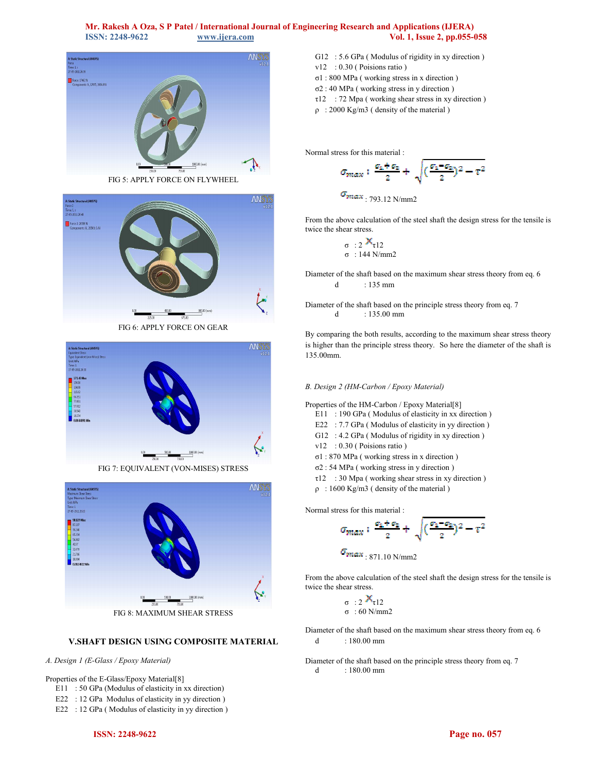

FIG 5: APPLY FORCE ON FLYWHEEL



FIG 6: APPLY FORCE ON GEAR



FIG 7: EQUIVALENT (VON-MISES) STRESS



FIG 8: MAXIMUM SHEAR STRESS

# **V.SHAFT DESIGN USING COMPOSITE MATERIAL**

#### *A. Design 1 (E-Glass / Epoxy Material)*

# Properties of the E-Glass/Epoxy Material[8]

- E11 : 50 GPa (Modulus of elasticity in xx direction)
- E22 : 12 GPa Modulus of elasticity in yy direction )
- E22 : 12 GPa (Modulus of elasticity in yy direction)
- G12 : 5.6 GPa ( Modulus of rigidity in xy direction ) v12 : 0.30 (Poisions ratio) σ1 : 800 MPa ( working stress in x direction ) σ2 : 40 MPa ( working stress in y direction )  $\tau$ 12 : 72 Mpa (working shear stress in xy direction)
- ρ : 2000 Kg/m3 ( density of the material )

Normal stress for this material :

$$
\sigma_{max}: \frac{\sigma_1+\sigma_2}{2}+\sqrt{(\frac{\sigma_1-\sigma_2}{2})^2-\tau^2}
$$

$$
v_{\text{max}} = 793.12 \text{ N/mm2}
$$

From the above calculation of the steel shaft the design stress for the tensile is twice the shear stress.

$$
\sigma : 2 \frac{\mathbf{X}_{\tau12}}{\sigma : 144 \text{ N/mm2}}
$$

Diameter of the shaft based on the maximum shear stress theory from eq. 6 d : 135 mm

Diameter of the shaft based on the principle stress theory from eq. 7 d : 135.00 mm

By comparing the both results, according to the maximum shear stress theory is higher than the principle stress theory. So here the diameter of the shaft is 135.00mm.

# *B. Design 2 (HM-Carbon / Epoxy Material)*

Properties of the HM-Carbon / Epoxy Material[8]

- E11 : 190 GPa (Modulus of elasticity in xx direction)
- E22 : 7.7 GPa (Modulus of elasticity in yy direction)
- G12 : 4.2 GPa (Modulus of rigidity in xy direction)
- v12 : 0.30 ( Poisions ratio )
- σ1 : 870 MPa ( working stress in x direction )
- σ2 : 54 MPa ( working stress in y direction )
- τ12 : 30 Mpa ( working shear stress in xy direction )
- ρ : 1600 Kg/m3 ( density of the material )

Normal stress for this material :

$$
\sigma_{\max} : \frac{\sigma_1 + \sigma_2}{2} + \sqrt{(\frac{\sigma_1 - \sigma_2}{2})^2 - \tau^2}
$$

 $\sigma_{max}$ : 871.10 N/mm2

From the above calculation of the steel shaft the design stress for the tensile is twice the shear stress.

$$
\begin{array}{c}\n\sigma : 2 \stackrel{\times}{\sim} \tau 12 \\
\sigma : 60 \text{ N/mm2}\n\end{array}
$$

- Diameter of the shaft based on the maximum shear stress theory from eq. 6 d : 180.00 mm
- Diameter of the shaft based on the principle stress theory from eq. 7 d : 180.00 mm